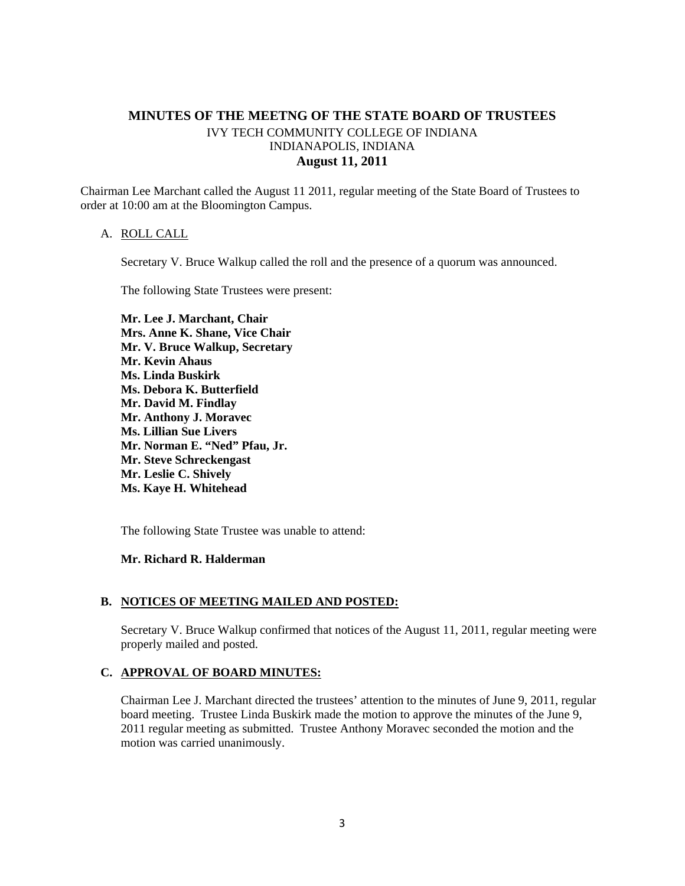# **MINUTES OF THE MEETNG OF THE STATE BOARD OF TRUSTEES**  IVY TECH COMMUNITY COLLEGE OF INDIANA INDIANAPOLIS, INDIANA **August 11, 2011**

Chairman Lee Marchant called the August 11 2011, regular meeting of the State Board of Trustees to order at 10:00 am at the Bloomington Campus.

### A. ROLL CALL

Secretary V. Bruce Walkup called the roll and the presence of a quorum was announced.

The following State Trustees were present:

**Mr. Lee J. Marchant, Chair Mrs. Anne K. Shane, Vice Chair Mr. V. Bruce Walkup, Secretary Mr. Kevin Ahaus Ms. Linda Buskirk Ms. Debora K. Butterfield Mr. David M. Findlay Mr. Anthony J. Moravec Ms. Lillian Sue Livers Mr. Norman E. "Ned" Pfau, Jr. Mr. Steve Schreckengast Mr. Leslie C. Shively Ms. Kaye H. Whitehead** 

The following State Trustee was unable to attend:

### **Mr. Richard R. Halderman**

### **B. NOTICES OF MEETING MAILED AND POSTED:**

Secretary V. Bruce Walkup confirmed that notices of the August 11, 2011, regular meeting were properly mailed and posted.

### **C. APPROVAL OF BOARD MINUTES:**

Chairman Lee J. Marchant directed the trustees' attention to the minutes of June 9, 2011, regular board meeting. Trustee Linda Buskirk made the motion to approve the minutes of the June 9, 2011 regular meeting as submitted. Trustee Anthony Moravec seconded the motion and the motion was carried unanimously.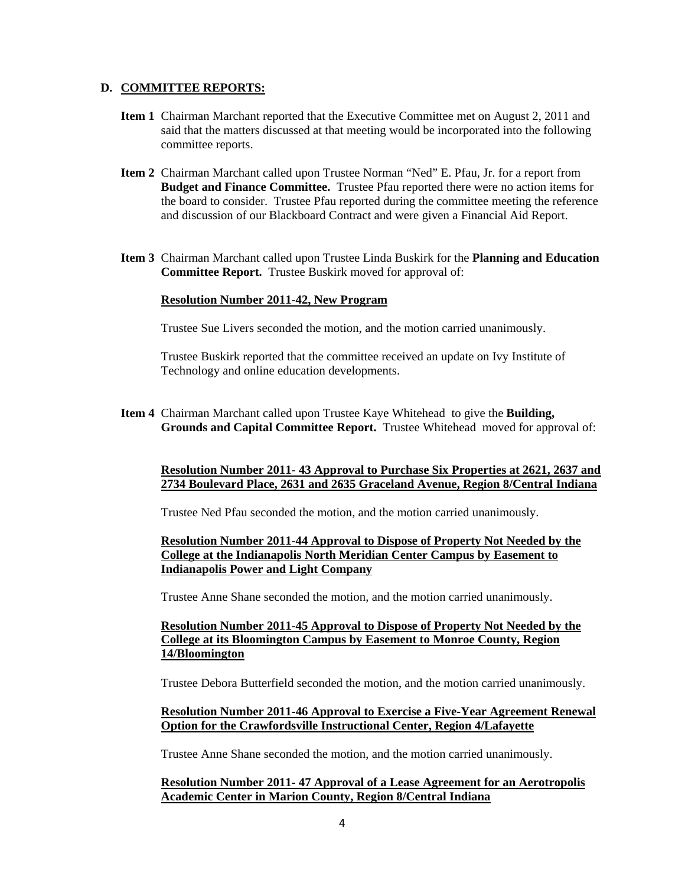### **D. COMMITTEE REPORTS:**

- **Item 1** Chairman Marchant reported that the Executive Committee met on August 2, 2011 and said that the matters discussed at that meeting would be incorporated into the following committee reports.
- **Item 2** Chairman Marchant called upon Trustee Norman "Ned" E. Pfau, Jr. for a report from **Budget and Finance Committee.** Trustee Pfau reported there were no action items for the board to consider. Trustee Pfau reported during the committee meeting the reference and discussion of our Blackboard Contract and were given a Financial Aid Report.
- **Item 3** Chairman Marchant called upon Trustee Linda Buskirk for the **Planning and Education Committee Report.** Trustee Buskirk moved for approval of:

### **Resolution Number 2011-42, New Program**

Trustee Sue Livers seconded the motion, and the motion carried unanimously.

Trustee Buskirk reported that the committee received an update on Ivy Institute of Technology and online education developments.

**Item 4** Chairman Marchant called upon Trustee Kaye Whitehead to give the **Building, Grounds and Capital Committee Report.** Trustee Whitehead moved for approval of:

### **Resolution Number 2011- 43 Approval to Purchase Six Properties at 2621, 2637 and 2734 Boulevard Place, 2631 and 2635 Graceland Avenue, Region 8/Central Indiana**

Trustee Ned Pfau seconded the motion, and the motion carried unanimously.

## **Resolution Number 2011-44 Approval to Dispose of Property Not Needed by the College at the Indianapolis North Meridian Center Campus by Easement to Indianapolis Power and Light Company**

Trustee Anne Shane seconded the motion, and the motion carried unanimously.

# **Resolution Number 2011-45 Approval to Dispose of Property Not Needed by the College at its Bloomington Campus by Easement to Monroe County, Region 14/Bloomington**

Trustee Debora Butterfield seconded the motion, and the motion carried unanimously.

# **Resolution Number 2011-46 Approval to Exercise a Five-Year Agreement Renewal Option for the Crawfordsville Instructional Center, Region 4/Lafayette**

Trustee Anne Shane seconded the motion, and the motion carried unanimously.

### **Resolution Number 2011- 47 Approval of a Lease Agreement for an Aerotropolis Academic Center in Marion County, Region 8/Central Indiana**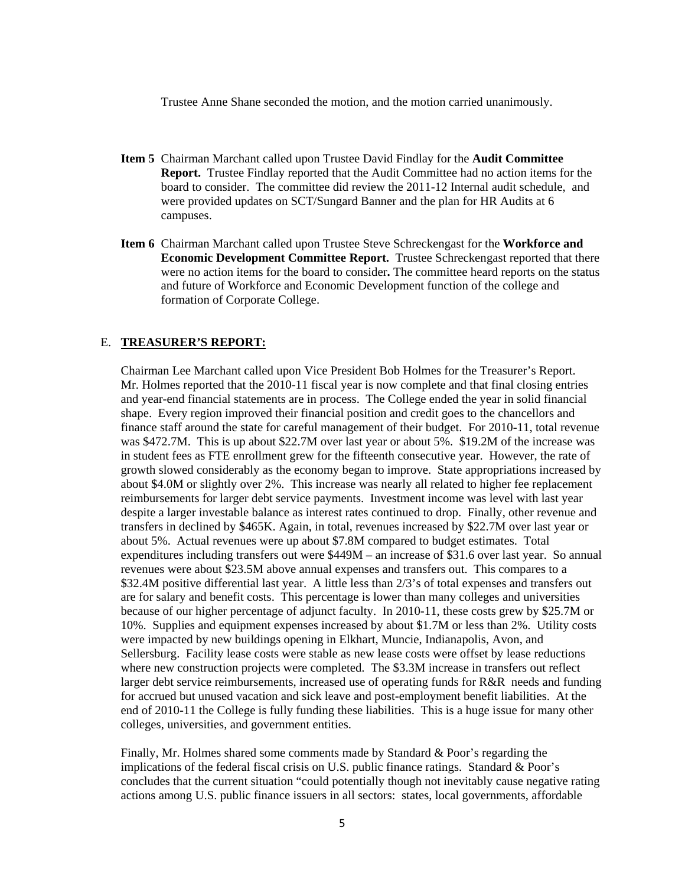Trustee Anne Shane seconded the motion, and the motion carried unanimously.

- **Item 5** Chairman Marchant called upon Trustee David Findlay for the **Audit Committee Report.** Trustee Findlay reported that the Audit Committee had no action items for the board to consider. The committee did review the 2011-12 Internal audit schedule, and were provided updates on SCT/Sungard Banner and the plan for HR Audits at 6 campuses.
- **Item 6** Chairman Marchant called upon Trustee Steve Schreckengast for the **Workforce and Economic Development Committee Report.** Trustee Schreckengast reported that there were no action items for the board to consider**.** The committee heard reports on the status and future of Workforce and Economic Development function of the college and formation of Corporate College.

#### E. **TREASURER'S REPORT:**

Chairman Lee Marchant called upon Vice President Bob Holmes for the Treasurer's Report. Mr. Holmes reported that the 2010-11 fiscal year is now complete and that final closing entries and year-end financial statements are in process. The College ended the year in solid financial shape. Every region improved their financial position and credit goes to the chancellors and finance staff around the state for careful management of their budget. For 2010-11, total revenue was \$472.7M. This is up about \$22.7M over last year or about 5%. \$19.2M of the increase was in student fees as FTE enrollment grew for the fifteenth consecutive year. However, the rate of growth slowed considerably as the economy began to improve. State appropriations increased by about \$4.0M or slightly over 2%. This increase was nearly all related to higher fee replacement reimbursements for larger debt service payments. Investment income was level with last year despite a larger investable balance as interest rates continued to drop. Finally, other revenue and transfers in declined by \$465K. Again, in total, revenues increased by \$22.7M over last year or about 5%. Actual revenues were up about \$7.8M compared to budget estimates. Total expenditures including transfers out were \$449M – an increase of \$31.6 over last year. So annual revenues were about \$23.5M above annual expenses and transfers out. This compares to a \$32.4M positive differential last year. A little less than 2/3's of total expenses and transfers out are for salary and benefit costs. This percentage is lower than many colleges and universities because of our higher percentage of adjunct faculty. In 2010-11, these costs grew by \$25.7M or 10%. Supplies and equipment expenses increased by about \$1.7M or less than 2%. Utility costs were impacted by new buildings opening in Elkhart, Muncie, Indianapolis, Avon, and Sellersburg. Facility lease costs were stable as new lease costs were offset by lease reductions where new construction projects were completed. The \$3.3M increase in transfers out reflect larger debt service reimbursements, increased use of operating funds for R&R needs and funding for accrued but unused vacation and sick leave and post-employment benefit liabilities. At the end of 2010-11 the College is fully funding these liabilities. This is a huge issue for many other colleges, universities, and government entities.

Finally, Mr. Holmes shared some comments made by Standard & Poor's regarding the implications of the federal fiscal crisis on U.S. public finance ratings. Standard & Poor's concludes that the current situation "could potentially though not inevitably cause negative rating actions among U.S. public finance issuers in all sectors: states, local governments, affordable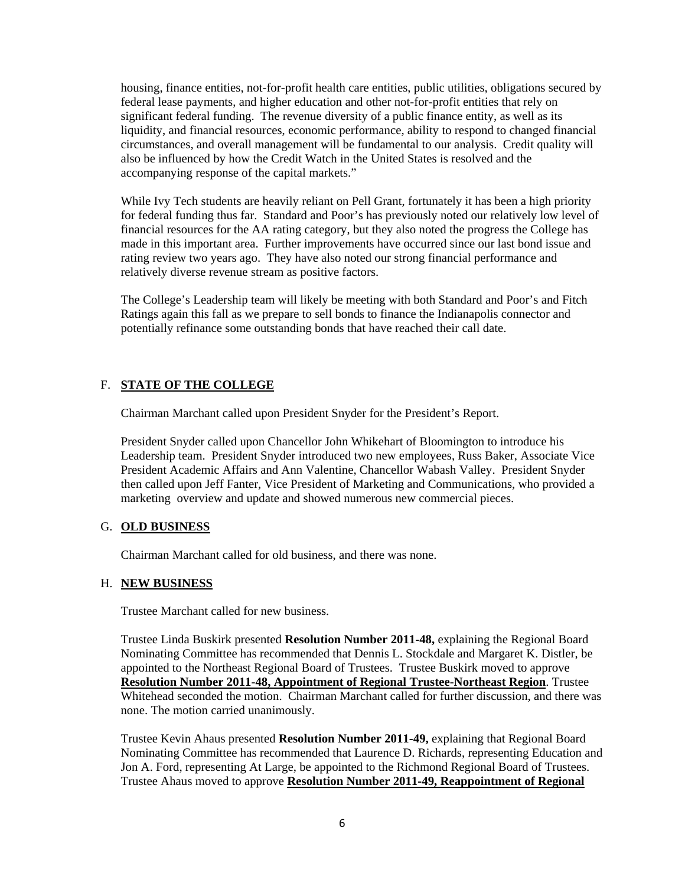housing, finance entities, not-for-profit health care entities, public utilities, obligations secured by federal lease payments, and higher education and other not-for-profit entities that rely on significant federal funding. The revenue diversity of a public finance entity, as well as its liquidity, and financial resources, economic performance, ability to respond to changed financial circumstances, and overall management will be fundamental to our analysis. Credit quality will also be influenced by how the Credit Watch in the United States is resolved and the accompanying response of the capital markets."

While Ivy Tech students are heavily reliant on Pell Grant, fortunately it has been a high priority for federal funding thus far. Standard and Poor's has previously noted our relatively low level of financial resources for the AA rating category, but they also noted the progress the College has made in this important area. Further improvements have occurred since our last bond issue and rating review two years ago. They have also noted our strong financial performance and relatively diverse revenue stream as positive factors.

The College's Leadership team will likely be meeting with both Standard and Poor's and Fitch Ratings again this fall as we prepare to sell bonds to finance the Indianapolis connector and potentially refinance some outstanding bonds that have reached their call date.

# F. **STATE OF THE COLLEGE**

Chairman Marchant called upon President Snyder for the President's Report.

President Snyder called upon Chancellor John Whikehart of Bloomington to introduce his Leadership team. President Snyder introduced two new employees, Russ Baker, Associate Vice President Academic Affairs and Ann Valentine, Chancellor Wabash Valley. President Snyder then called upon Jeff Fanter, Vice President of Marketing and Communications, who provided a marketing overview and update and showed numerous new commercial pieces.

### G. **OLD BUSINESS**

Chairman Marchant called for old business, and there was none.

### H. **NEW BUSINESS**

Trustee Marchant called for new business.

Trustee Linda Buskirk presented **Resolution Number 2011-48,** explaining the Regional Board Nominating Committee has recommended that Dennis L. Stockdale and Margaret K. Distler, be appointed to the Northeast Regional Board of Trustees. Trustee Buskirk moved to approve **Resolution Number 2011-48, Appointment of Regional Trustee-Northeast Region**. Trustee Whitehead seconded the motion. Chairman Marchant called for further discussion, and there was none. The motion carried unanimously.

Trustee Kevin Ahaus presented **Resolution Number 2011-49,** explaining that Regional Board Nominating Committee has recommended that Laurence D. Richards, representing Education and Jon A. Ford, representing At Large, be appointed to the Richmond Regional Board of Trustees. Trustee Ahaus moved to approve **Resolution Number 2011-49, Reappointment of Regional**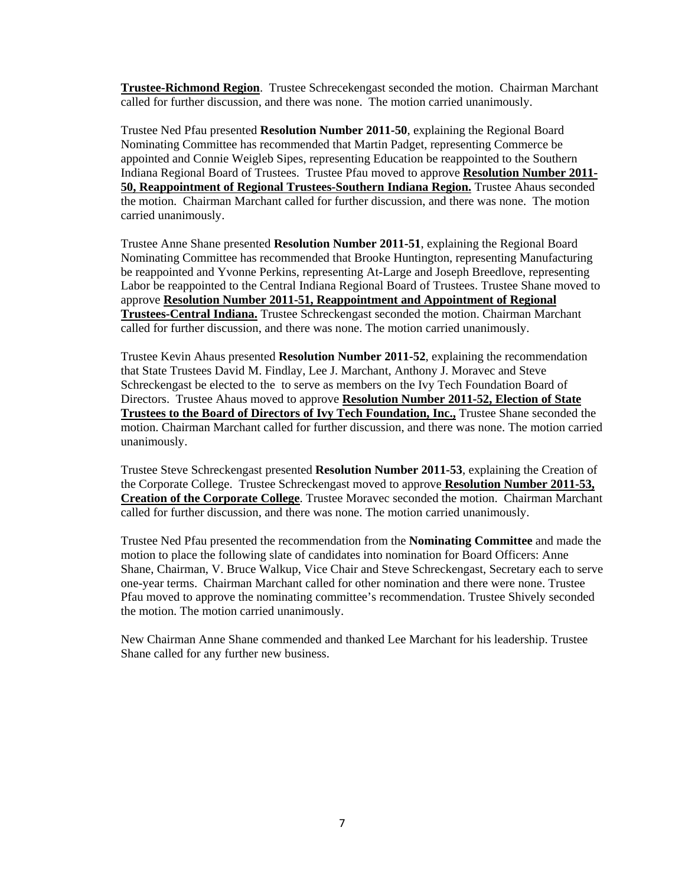**Trustee-Richmond Region**. Trustee Schrecekengast seconded the motion. Chairman Marchant called for further discussion, and there was none. The motion carried unanimously.

Trustee Ned Pfau presented **Resolution Number 2011-50**, explaining the Regional Board Nominating Committee has recommended that Martin Padget, representing Commerce be appointed and Connie Weigleb Sipes, representing Education be reappointed to the Southern Indiana Regional Board of Trustees. Trustee Pfau moved to approve **Resolution Number 2011- 50, Reappointment of Regional Trustees-Southern Indiana Region.** Trustee Ahaus seconded the motion. Chairman Marchant called for further discussion, and there was none. The motion carried unanimously.

Trustee Anne Shane presented **Resolution Number 2011-51**, explaining the Regional Board Nominating Committee has recommended that Brooke Huntington, representing Manufacturing be reappointed and Yvonne Perkins, representing At-Large and Joseph Breedlove, representing Labor be reappointed to the Central Indiana Regional Board of Trustees. Trustee Shane moved to approve **Resolution Number 2011-51, Reappointment and Appointment of Regional Trustees-Central Indiana.** Trustee Schreckengast seconded the motion. Chairman Marchant called for further discussion, and there was none. The motion carried unanimously.

Trustee Kevin Ahaus presented **Resolution Number 2011-52**, explaining the recommendation that State Trustees David M. Findlay, Lee J. Marchant, Anthony J. Moravec and Steve Schreckengast be elected to the to serve as members on the Ivy Tech Foundation Board of Directors. Trustee Ahaus moved to approve **Resolution Number 2011-52, Election of State Trustees to the Board of Directors of Ivy Tech Foundation, Inc.,** Trustee Shane seconded the motion. Chairman Marchant called for further discussion, and there was none. The motion carried unanimously.

Trustee Steve Schreckengast presented **Resolution Number 2011-53**, explaining the Creation of the Corporate College. Trustee Schreckengast moved to approve **Resolution Number 2011-53, Creation of the Corporate College**. Trustee Moravec seconded the motion. Chairman Marchant called for further discussion, and there was none. The motion carried unanimously.

Trustee Ned Pfau presented the recommendation from the **Nominating Committee** and made the motion to place the following slate of candidates into nomination for Board Officers: Anne Shane, Chairman, V. Bruce Walkup, Vice Chair and Steve Schreckengast, Secretary each to serve one-year terms. Chairman Marchant called for other nomination and there were none. Trustee Pfau moved to approve the nominating committee's recommendation. Trustee Shively seconded the motion. The motion carried unanimously.

New Chairman Anne Shane commended and thanked Lee Marchant for his leadership. Trustee Shane called for any further new business.